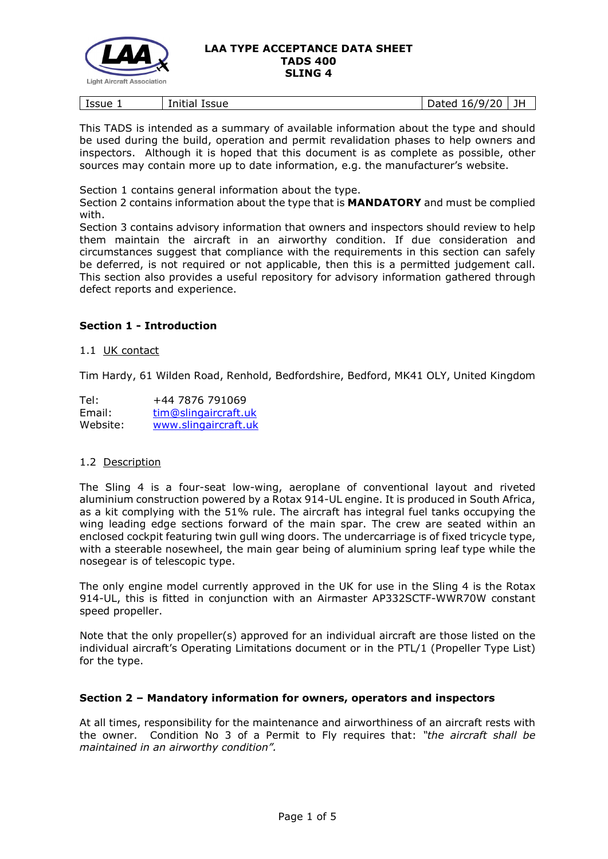

| Issue | $\overline{\phantom{a}}$<br>.<br>Initial<br><b>Issue</b> | $+ \circ \circ$<br>6/<br>$\mathbf{y}_I$<br>יי<br>aucu<br>-- | JH |
|-------|----------------------------------------------------------|-------------------------------------------------------------|----|
|       |                                                          |                                                             |    |

This TADS is intended as a summary of available information about the type and should be used during the build, operation and permit revalidation phases to help owners and inspectors. Although it is hoped that this document is as complete as possible, other sources may contain more up to date information, e.g. the manufacturer's website.

Section 1 contains general information about the type.

Section 2 contains information about the type that is **MANDATORY** and must be complied with.

Section 3 contains advisory information that owners and inspectors should review to help them maintain the aircraft in an airworthy condition. If due consideration and circumstances suggest that compliance with the requirements in this section can safely be deferred, is not required or not applicable, then this is a permitted judgement call. This section also provides a useful repository for advisory information gathered through defect reports and experience.

# **Section 1 - Introduction**

### 1.1 UK contact

Tim Hardy, 61 Wilden Road, Renhold, Bedfordshire, Bedford, MK41 OLY, United Kingdom

| Tel:     | +44 7876 791069      |
|----------|----------------------|
| Email:   | tim@slingaircraft.uk |
| Website: | www.slingaircraft.uk |

## 1.2 Description

The Sling 4 is a four-seat low-wing, aeroplane of conventional layout and riveted aluminium construction powered by a Rotax 914-UL engine. It is produced in South Africa, as a kit complying with the 51% rule. The aircraft has integral fuel tanks occupying the wing leading edge sections forward of the main spar. The crew are seated within an enclosed cockpit featuring twin gull wing doors. The undercarriage is of fixed tricycle type, with a steerable nosewheel, the main gear being of aluminium spring leaf type while the nosegear is of telescopic type.

The only engine model currently approved in the UK for use in the Sling 4 is the Rotax 914-UL, this is fitted in conjunction with an Airmaster AP332SCTF-WWR70W constant speed propeller.

Note that the only propeller(s) approved for an individual aircraft are those listed on the individual aircraft's Operating Limitations document or in the PTL/1 (Propeller Type List) for the type.

## **Section 2 – Mandatory information for owners, operators and inspectors**

At all times, responsibility for the maintenance and airworthiness of an aircraft rests with the owner. Condition No 3 of a Permit to Fly requires that: *"the aircraft shall be maintained in an airworthy condition".*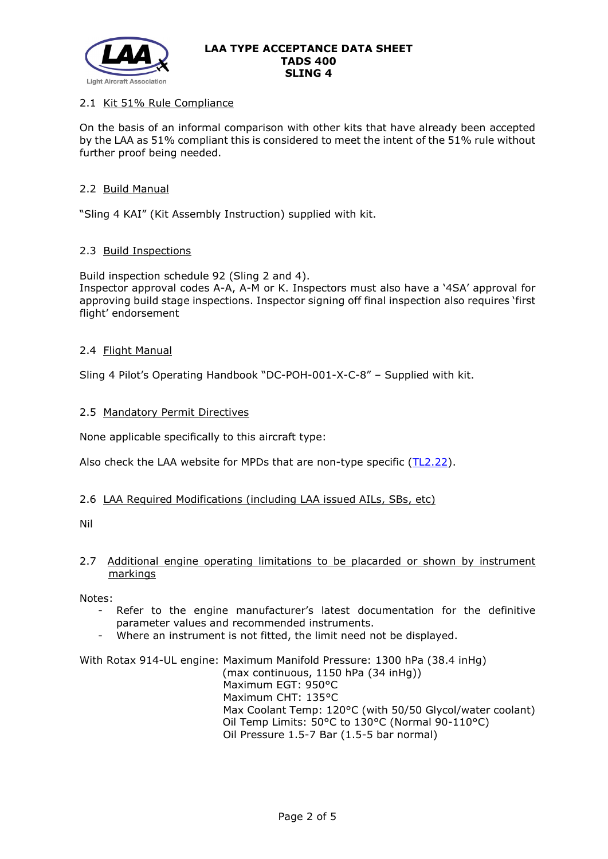

## 2.1 Kit 51% Rule Compliance

On the basis of an informal comparison with other kits that have already been accepted by the LAA as 51% compliant this is considered to meet the intent of the 51% rule without further proof being needed.

## 2.2 Build Manual

"Sling 4 KAI" (Kit Assembly Instruction) supplied with kit.

## 2.3 Build Inspections

Build inspection schedule 92 (Sling 2 and 4). Inspector approval codes A-A, A-M or K. Inspectors must also have a '4SA' approval for approving build stage inspections. Inspector signing off final inspection also requires 'first flight' endorsement

## 2.4 Flight Manual

Sling 4 Pilot's Operating Handbook "DC-POH-001-X-C-8" – Supplied with kit.

## 2.5 Mandatory Permit Directives

None applicable specifically to this aircraft type:

Also check the LAA website for MPDs that are non-type specific  $(TL2.22)$ .

## 2.6 LAA Required Modifications (including LAA issued AILs, SBs, etc)

Nil

# 2.7 Additional engine operating limitations to be placarded or shown by instrument markings

Notes:

- Refer to the engine manufacturer's latest documentation for the definitive parameter values and recommended instruments.
- Where an instrument is not fitted, the limit need not be displayed.

With Rotax 914-UL engine: Maximum Manifold Pressure: 1300 hPa (38.4 inHg) (max continuous, 1150 hPa (34 inHg)) Maximum EGT: 950°C Maximum CHT: 135°C Max Coolant Temp: 120°C (with 50/50 Glycol/water coolant) Oil Temp Limits: 50°C to 130°C (Normal 90-110°C) Oil Pressure 1.5-7 Bar (1.5-5 bar normal)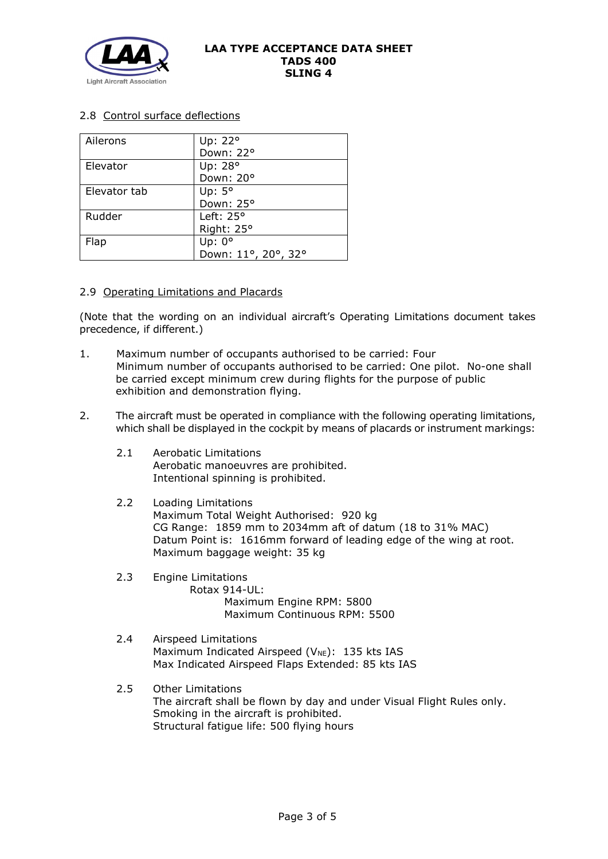

# 2.8 Control surface deflections

| Ailerons     | Up: 22°             |
|--------------|---------------------|
|              | Down: 22°           |
| Elevator     | Up: 28°             |
|              | Down: 20°           |
| Elevator tab | Up: $5^\circ$       |
|              | Down: 25°           |
| Rudder       | Left: $25^{\circ}$  |
|              | Right: 25°          |
| Flap         | Up: $0^{\circ}$     |
|              | Down: 11°, 20°, 32° |

## 2.9 Operating Limitations and Placards

(Note that the wording on an individual aircraft's Operating Limitations document takes precedence, if different.)

- 1. Maximum number of occupants authorised to be carried: Four Minimum number of occupants authorised to be carried: One pilot. No-one shall be carried except minimum crew during flights for the purpose of public exhibition and demonstration flying.
- 2. The aircraft must be operated in compliance with the following operating limitations, which shall be displayed in the cockpit by means of placards or instrument markings:
	- 2.1 Aerobatic Limitations Aerobatic manoeuvres are prohibited. Intentional spinning is prohibited.
	- 2.2 Loading Limitations Maximum Total Weight Authorised: 920 kg CG Range: 1859 mm to 2034mm aft of datum (18 to 31% MAC) Datum Point is: 1616mm forward of leading edge of the wing at root. Maximum baggage weight: 35 kg
	- 2.3 Engine Limitations Rotax 914-UL: Maximum Engine RPM: 5800 Maximum Continuous RPM: 5500
	- 2.4 Airspeed Limitations Maximum Indicated Airspeed ( $V_{NE}$ ): 135 kts IAS Max Indicated Airspeed Flaps Extended: 85 kts IAS
	- 2.5 Other Limitations The aircraft shall be flown by day and under Visual Flight Rules only. Smoking in the aircraft is prohibited. Structural fatigue life: 500 flying hours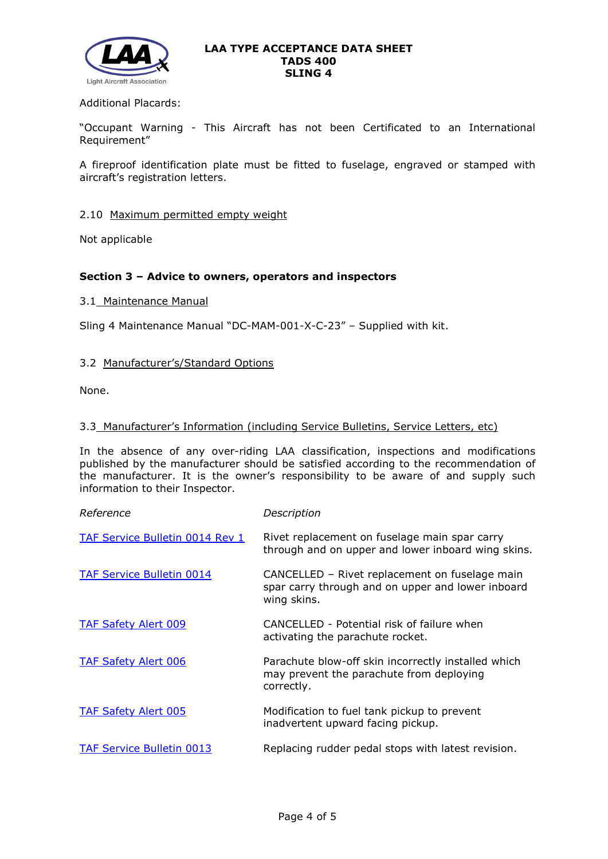

## Additional Placards:

"Occupant Warning - This Aircraft has not been Certificated to an International Requirement"

A fireproof identification plate must be fitted to fuselage, engraved or stamped with aircraft's registration letters.

### 2.10 Maximum permitted empty weight

Not applicable

## **Section 3 – Advice to owners, operators and inspectors**

### 3.1 Maintenance Manual

Sling 4 Maintenance Manual "DC-MAM-001-X-C-23" – Supplied with kit.

## 3.2 Manufacturer's/Standard Options

None.

### 3.3 Manufacturer's Information (including Service Bulletins, Service Letters, etc)

In the absence of any over-riding LAA classification, inspections and modifications published by the manufacturer should be satisfied according to the recommendation of the manufacturer. It is the owner's responsibility to be aware of and supply such information to their Inspector.

| Reference                        | Description                                                                                                        |
|----------------------------------|--------------------------------------------------------------------------------------------------------------------|
| TAF Service Bulletin 0014 Rev 1  | Rivet replacement on fuselage main spar carry<br>through and on upper and lower inboard wing skins.                |
| <b>TAF Service Bulletin 0014</b> | CANCELLED - Rivet replacement on fuselage main<br>spar carry through and on upper and lower inboard<br>wing skins. |
| <b>TAF Safety Alert 009</b>      | CANCELLED - Potential risk of failure when<br>activating the parachute rocket.                                     |
| <b>TAF Safety Alert 006</b>      | Parachute blow-off skin incorrectly installed which<br>may prevent the parachute from deploying<br>correctly.      |
| <b>TAF Safety Alert 005</b>      | Modification to fuel tank pickup to prevent<br>inadvertent upward facing pickup.                                   |
| <b>TAF Service Bulletin 0013</b> | Replacing rudder pedal stops with latest revision.                                                                 |